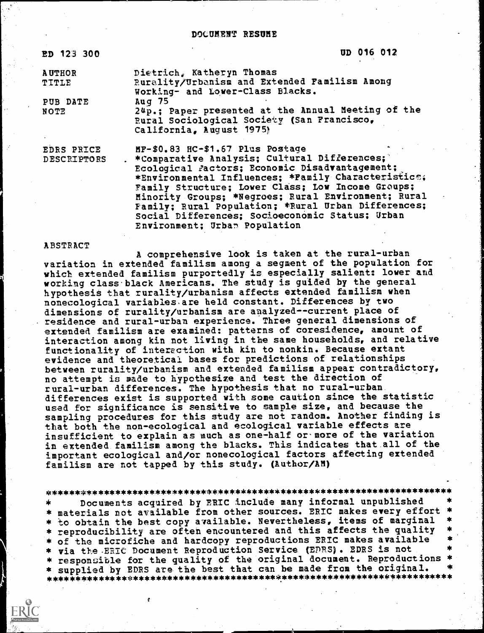#### DOCUMENT RESUME

ED 12:3 300 OD 016 012

AUTHOR Dietrich, Katheryn Thomas TITLE Rurality /Urbanism and Extended Familism Among Working- and Lower-Class Blacks. PUB DATE Aug 75<br>NOTE 24p.: 24p.; Paper presented at the Annual Meeting of the Rural Sociological Society (San Francisco, California, August 1975!

EDRS PRICE MF-\$0.83 HC-\$1.67 Plus Postage<br>DESCRIPTORS - \*Comparative Analysis: Cultural \*Comparative Analysis; Cultural Differences; Ecological Factors; Economic Disadvantagement; \*Environmental Influences; \*Family Characteristics; Family Structure; Lower Class; Low Income Groups; Minority Groups; \*Negroes; Rural Environment; Rural Family; Rural Population; \*Rural Urban Differences; Social Differences; Socioeconomic Status; Urban Environment; Urban Population

#### ABSTRACT

A comprehensive look is taken at the rural-urban variation in extended familism among a segment of the population for which extended familism purportedly is especially salient: lower and working class black Americans. The study is guided by the general hypothesis that rurality/urbanism affects extended familism when nonecological variables are held constant. Differences by two dimensions of rurality/urbanism are analyzed--current place of residence and rural-urban experience. Three general dimensions of extended familism are examined: patterns of coresidence, amount of interaction among kin not living in the same households, and relative functionality of interaction with kin to nonkin. Because extant evidence and theoretical bases for predictions of relationships between rurality/urbanism and extended familism appear contradictory, no attempt is made to hypothesize and test the direction of rural-urban differences. The hypothesis that no rural-urban differences exist is supported with some caution since the statistic used for significance is sensitive to sample size, and because the sampling procedures for this study are not random. Another finding is that both the non-ecological and ecological variable effects are insufficient to explain as much as one-half or- more of the variation in extended familism among the blacks. This indicates that all of the important ecological and/or nonecological factors affecting extended familism are not tapped by this study. (Author/AM)

\*\*\*\*\*\*\*\*\*\*\*\*\*\*\*\*\*\*\*\*\*\*\*\*\*\*\*\*\*\*\*\*\*\*\*\*\*\*\*\*\*\*\*\*\*\*\*\*\*\*\*\*\*\*\*\*\*\*\*\*\*\*\*\*\*\*\*\*\*\*\* Documents acquired by ERIC include many informal unpublished \* materials not available from other sources. ERIC makes every effort<br>\* to obtain the best copy available. Nevertheless, items of marginal \* reproducibility are often encountered and this affects the quality \* of the microfiche and hardcopy reproductions ERIC makes available \* via the ERIC Document Reproduction Service (EDRS). EDRS is not \*\*<br>\* responsible for the quality of the original document. Reproductions \* \* supplied by EDRS are the best that can be made from the original. \* \* \* supplied by EDRS are the best that can be made from the original. \* \*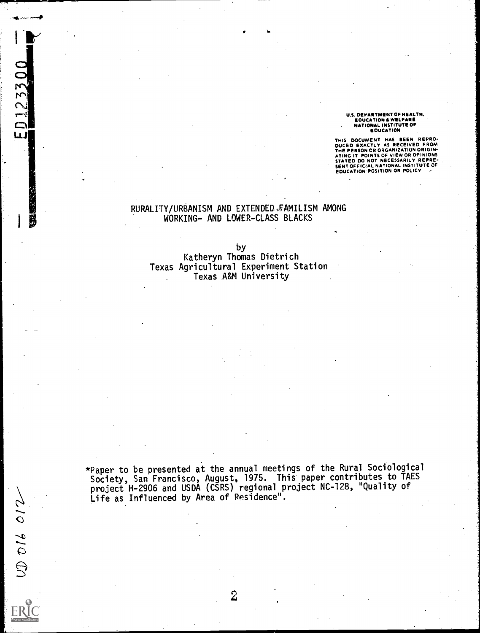U.S. DEPARTMENT OF HEALTH, EDUCATION & WELFARE NATIONAL INSTITUTE OF EDUCATION

THIS DOCUMENT HAS BEEN REPROM<br>DICED EXACTLY AS RECEIVED FROM<br>THE PERSON OR ORGANIZATION ORIGINATING IT POINTS OF VIEW OR OPINIONS<br>STATED DO NOT NECESSARILY REPRE-<br>EDUCATION POSITION OR POLICY<br>EDUCATION POSITION OR POLICY

# RURALITY/URBANISM AND EXTENDED FAMILISM AMONG WORKING- AND LOWER-CLASS BLACKS

ED123300

 $0006012$ 

ER

by

Katheryn Thomas Dietrich Texas Agricultural Experiment Station Texas A&M University

\*Paper to be presented at the annual meetings of the Rural Sociological Society, San Francisco, August, 1975. This paper contributes to TAES project H-2906 and USDA (CSRS) regional project NC-128, "Quality of Life as Influenced by Area of Residence".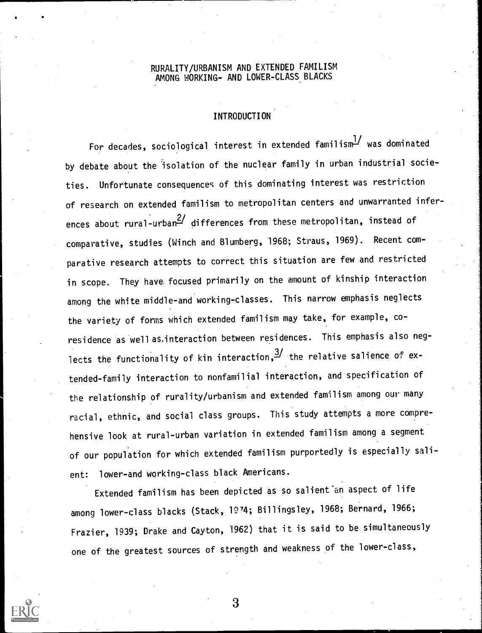# RURALITY/URBANISM AND EXTENDED FAMILISM AMONG WORKING- AND LOWER-CLASS BLACKS

# INTRODUCTION

For decades, sociological interest in extended familism $\frac{1}{2}$  was dominated by debate about the isolation of the nuclear family in urban industrial societies. Unfortunate consequences of this dominating interest was restriction of research on extended familism to metropolitan centers and unwarranted inferences about rural-urban $\frac{2}{1}$  differences from these metropolitan, instead of comparative, studies (Winch and Blumberg, 1968; Straus, 1969). Recent comparative research attempts to correct this situation are few and restricted in scope. They have, focused primarily on the amount of kinship interaction among the white middle-and working-classes. This narrow emphasis neglects the variety of forms which extended familism may take, for example, coresidence as well as,interaction between residences. This emphasis also neglects the functionality of kin interaction,  $\frac{3}{1}$  the relative salience of extended-family interaction to nonfamilial interaction, and specification of the relationship of rurality/urbanism and extended familism among our many racial, ethnic, and social class groups. This study attempts a more comprehensive look at rural-urban variation in extended familism among a segment of our population for which extended familism purportedly is especially salient: lower-and working-class black Americans.

Extended familism has been depicted as so salient'an aspect of life among lower-class blacks (Stack, 1974; Billingsley, 1968; Bernard, 1966; Frazier, 1939; Drake and Cayton, 1962) that it is said to be simultaneously one of the greatest sources of strength and weakness of the lower-class,

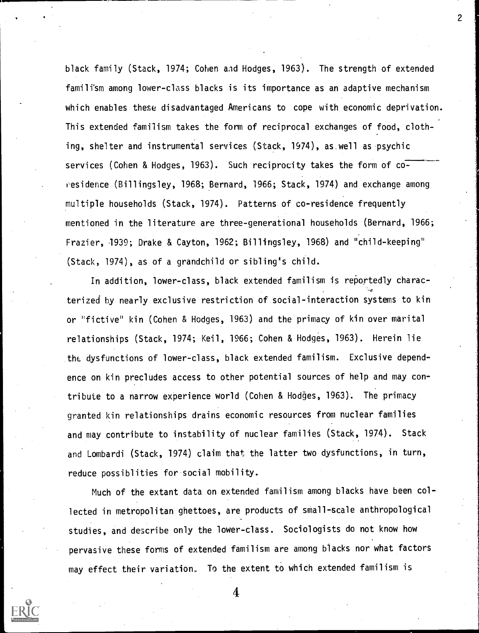black family (Stack, 1974; Cohen aid Hodges, 1963). The strength of extended familism among lower-class blacks is its importance as an adaptive mechanism which enables these disadvantaged Americans to cope with economic deprivation. This extended familism takes the form of reciprocal exchanges of food, clothing, shelter and instrumental services (Stack, 1974), as.well as psychic services (Cohen & Hodges, 1963). Such reciprocity takes the form of coresidence (Billingsley, 1968; Bernard, 1966; Stack, 1974) and exchange among multiple households (Stack, 1974). Patterns of co-residence frequently mentioned in the literature are three-generational households (Bernard, 1966; Frazier, 1939; Drake & Cayton, 1962; Billingsley, 1968) and "child-keeping" (Stack, 1974), as of a grandchild or sibling's child.

In addition, lower-class, black extended familism is reportedly characterized by nearly exclusive restriction of social-interaction systems to kin or "fictive" kin (Cohen & Hodges, 1963) and the primacy of kin over marital relationships (Stack, 1974; Keil, 1966; Cohen & Hodges, 1963). Herein lie the dysfunctions of lower-class, black extended familism. Exclusive dependence on kin precludes access to other potential sources of help and may contribute to a narrow experience world (Cohen & Hodges, 1963). The primacy granted kin relationships drains economic resources from nuclear families and may contribute to instability of nuclear families (Stack, 1974). Stack and Lombardi (Stack, 1974) claim that the latter two dysfunctions, in turn, reduce possiblities for social mobility.

Much of the extant data on extended familism among blacks have been collected in metropolitan ghettoes, are products of small-scale anthropological studies, and describe only the lower-class. Sociologists do not know how pervasive these forms of extended familism are among blacks nor what factors may effect their variatiom. To the extent to which extended familism is



4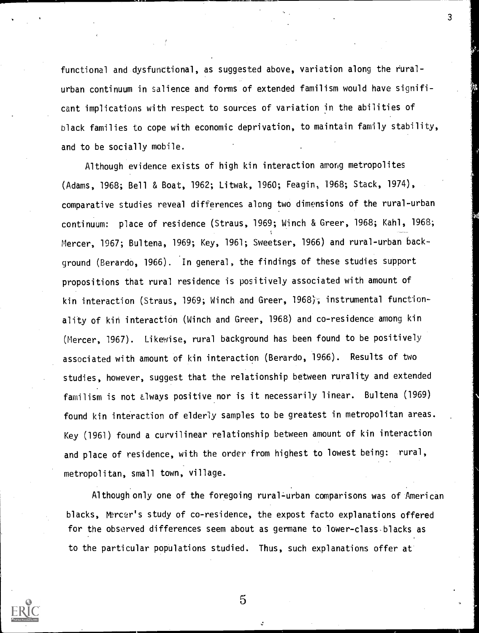functional and dysfunctional, as suggested above, variation along the ruralurban continuum in salience and forms of extended familism would have significant implications with respect to sources of variation in the abilities of black families to cope with economic deprivation, to maintain family stability, and to be socially mobile.

Although evidence exists of high kin interaction among metropolites (Adams, 1968; Bell & Boat, 1962; Litwak, 1960; Feagin, 1968; Stack, 1974), comparative studies reveal differences along two dimensions of the rural-urban continuum: place of residence (Straus, 1969; Winch & Greer, 1968; Kahl, 1968; Mercer, 1967; Bultena, 1969; Key, 1961; Sweetser, 1966) and rural-urban background (Berardo, 1966). In general, the findings of these studies support propositions that rural residence is positively associated with amount of kin interaction (Straus, 1969; Winch and Greer, 1968); instrumental functionality of kin interaction (Winch and Greer, 1968) and co-residence among kin (Mercer, 1967). Likewise, rural background has been found to be positively associated with amount of kin interaction (Berardo, 1966). Results of two studies, however, suggest that the relationship between rurality and extended familism is not always positive nor is it necessarily linear. Bultena (1969) found kin interaction of elderly samples to be greatest in metropolitan areas. Key (1961) found a curvilinear relationship between amount of kin interaction and place of residence, with the order from highest to lowest being: rural, metropolitan, small town, village.

Although only one of the foregoing rural-urban comparisons was of American blacks, Mercer's study of co-residence, the expost facto explanations offered for the observed differences seem about as germane to lower-class.blacks as to the particular populations studied. Thus, such explanations offer at



5

 $\mathcal{S}$  and  $\mathcal{S}$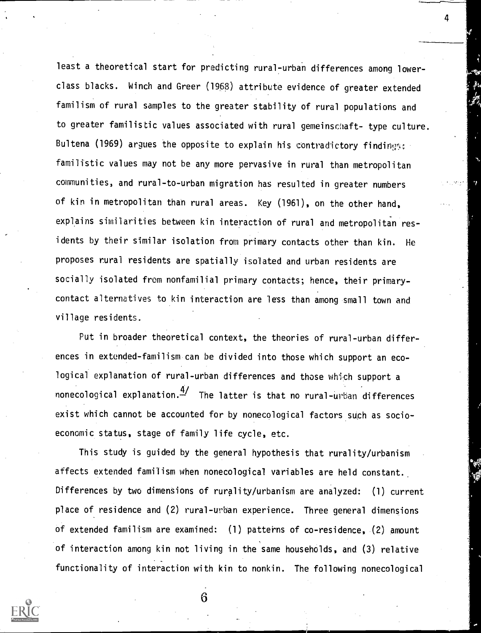least a theoretical start for predicting rural-urban differences among lowerclass blacks. Winch and Greer (198) attribute evidence of greater extended familism of rural samples to the greater stability of rural populations and to greater familistic values associated with rural gemeinschaft- type culture. Bultena (1969) argues the opposite to explain his contradictory findings: familistic values may not be any more pervasive in rural than metropolitan communities, and rural-to-urban migration has resulted in greater numbers of kin in metropolitan than rural areas. Key (1961), on the other hand, explains similarities between kin interaction of rural and metropolitan res idents by their similar isolation from primary contacts other than kin. He proposes rural residents are spatially isolated and urban residents are socially isolated from nonfamilial primary contacts; hence, their primarycontact alternatives to kin interaction are less than among small town and village residents.

4

Put in broader theoretical context, the theories of rural-urban differences in extended-familism can be divided into those which support an ecological explanation of rural-urban differences and those which support a nonecological explanation. $\frac{4}{1}$  The latter is that no rural-urban differences exist which cannot be accounted for by nonecological factors such as socioeconomic status, stage of family life cycle, etc.

This study is guided by the general hypothesis that rurality/urbanism affects extended familism when nonecological variables are held constant. Differences by two dimensions of rurality/urbanism are analyzed: (1) current place of residence and (2) rural-urban experience. Three general dimensions of extended familism are examined: (1) patterns of co-residence, (2) amount of interaction among kin not living in the same households, and (3) relative functionality of interaction with kin to nonkin. The following nonecological

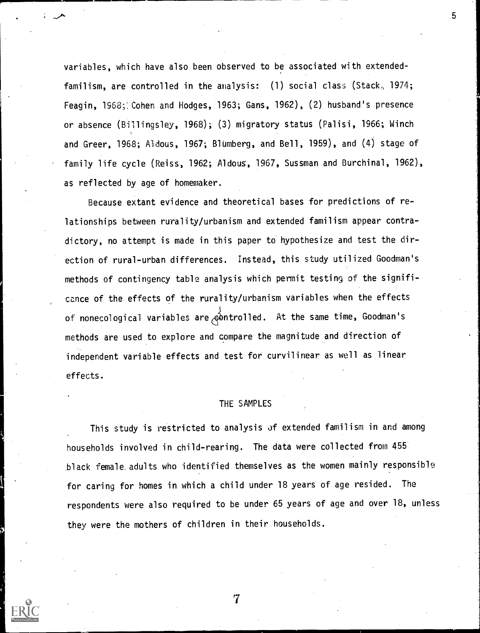variables, which have also been observed to be associated with extendedfamilism, are controlled in the analysis: (1) social class (Stack,, 1974; Feagin, 1968; Cohen and Hodges, 1963; Gans, 1962), (2) husband's presence or absence (Billingsley, 1968); (3) migratory status (Palisi, 1966; Winch and Greer, 1968; Aldous, 1967; Blumberg, and Bell, 1959), and (4) stage of family life cycle (Reiss, 1962; Aldous, 1967, Sussman and Burchinal, 1962), as reflected by age of homemaker.

၁ ၂

Because extant evidence and theoretical bases for predictions of relationships between rurality/urbanism and extended familism appear contradictory, no attempt is made in this paper to hypothesize and test the direction of rural-urban differences. Instead, this study utilized Goodman's methods of contingency table analysis which permit testing of the significance of the effects of the rurality/urbanism variables when the effects of nonecological variables are  $\overrightarrow{e}$  ontrolled. At the same time, Goodman's methods are used to explore and compare the magnitude and direction of independent variable effects and test for curvilinear as well as linear effects.

## THE SAMPLES

This study is restricted to analysis of extended familism in and among households involved in child-rearing. The data were collected from 455 black female.adults who identified themselves as the women mainly responsible for caring for homes in which a child under 18 years of age resided. The respondents were also required to be under 65 years of age and over 18, unless they were the mothers of children in their households.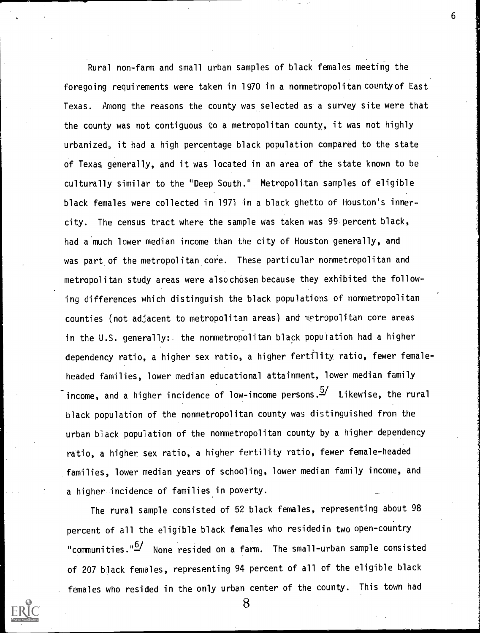Rural non-farm and small urban samples of black females meeting the foregoing requirements were taken in 1970 in a nonmetropolitancountyof East Texas. Among the reasons the county was selected as a survey site were that the county was not contiguous to a metropolitan county, it was not highly urbanized, it had a high percentage black population compared to the state of Texas generally, and it was located in an area of the state known to be culturally similar to the "Deep South." Metropolitan samples of eligible black females were collected in 1971 in a black ghetto of Houston's innercity. The census tract where the sample was taken was 99 percent black, had a much lower median income than the city of Houston generally, and was part of the metropolitan core. These particular nonmetropolitan and metropolitan study areas were also chosen because they exhibited the following differences which distinguish the black populations of nonmetropolitan counties (not adjacent to metropolitan areas) and metropolitan core areas in the U.S. generally: the nonmetropolitan black population had a higher dependency ratio, a higher sex ratio, a higher fertility ratio, fewer femaleheaded families, lower median educational attainment, lower median family income, and a higher incidence of low-income persons.<sup>5/</sup> Likewise, the rural black population of the nonmetropolitan county was distinguished from the urban black population of the nonmetropolitan county by a higher dependency ratio, a higher sex ratio, a higher fertility ratio, fewer female-headed families, lower median years of schooling, lower median family income, and a higher incidence of families in poverty.

The rural sample consisted of 52 black females, representing about 98 percent of all the eligible black females who residedin two open-country "communities."<sup>6/</sup> None resided on a farm. The small-urban sample consisted of 207 black females, representing 94 percent of all of the eligible black females who resided in the only urban center of the county. This town had



8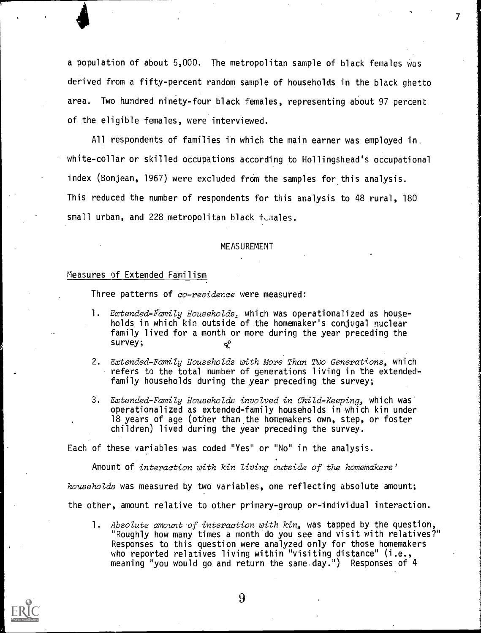a population of about 5,000. The metropolitan sample of black females was derived from a fifty-percent random sample of households in the black ghetto area. Two hundred ninety-four black females, representing about 97 percent of the eligible females, were interviewed.

 $\mathcal{F} = \mathcal{F}$ 

All respondents of families in which the main earner was employed in white-collar or skilled occupations according to Hollingshead's occupational index (Bonjean, 1967) were excluded from the samples for this analysis. This reduced the number of respondents for this analysis to 48 rural, 180 small urban, and 228 metropolitan black fumales.

#### MEASUREMENT

### Measures of Extended Familism

Three patterns of co-residence were measured:

- 1. Extended-Family Households, which was operationalized as households in which kin outside of the homemaker's conjugal nuclear family lived for a month or more during the year preceding the survey;
- 2. Extended-Family Households with More Than Two Generations, which refers to the total number of generations living in the extendedfamily households during the year preceding the survey;
- 3. Extended-Family Households involved in Child-Keeping, which was operationalized as extended-family households in which kin under 18 years of age (other than the homemakers own, step, or foster children) lived during the year preceding the survey.

Each of these variables was coded "Yes" or "No" in the analysis.

Amount of interaction with kin living outside of the homemakers'

households was measured by two variables, one reflecting absolute amount;

the other, amount relative to other primary-group or-individual interaction.

1. Absolute amount of interaction with kin, was tapped by the question, "Roughly how many times a month do you see and visit with relatives?" Responses to this question were analyzed only for those homemakers who reported relatives living within "visiting distance" (i.e., meaning "you would go and return the same day. ") Responses of 4

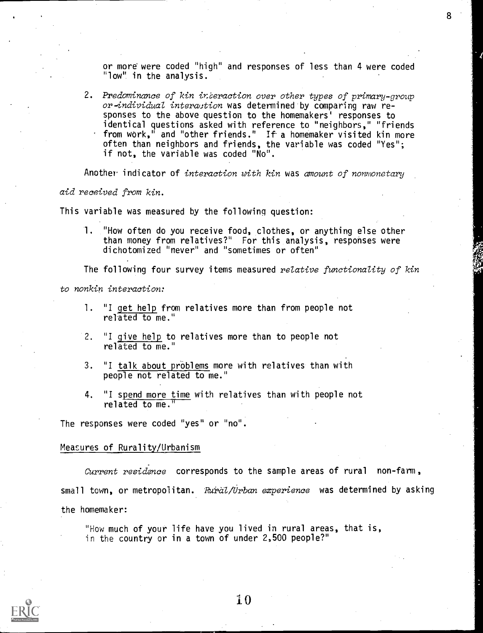or more were coded "high" and responses of less than 4 were coded "low" in the analysis.

2. Predominance of kin interaction over other types of primary-group or-individual interaction was determined by comparing raw responses to the above question to the homemakers' responses to identical questions asked with reference to "neighbors," "friends from work," and "other friends." If-a homemaker visited kin more often than neighbors and friends, the variable was coded "Yes"; if not, the variable was coded "No".

Another indicator of interaction with  $kin$  was amount of nonmonetary

aid received from kin.

This variable was measured by the following question:

1. "How often do you receive food, clothes, or anything else other than money from relatives?" For this analysis, responses were dichotomized "never" and "sometimes or often"

The following four survey items measured relative functionality of kin

to nonkin interaction:

- 1. "I get help from relatives more than from people not related to me."
- 2. "I give help to relatives more than to people not related to me."
- 3. "I talk about problems more with relatives than with people not related to me."
- 4. "I spend more time with relatives than with people not related to me."

The responses were coded "yes" or "no".

#### Measures of Rurality/Urbanism

Current residence corresponds to the sample areas of rural non-farm, small town, or metropolitan. Rural/Urban experience was determined by asking the homemaker:

"How much of your life have you lived in rural areas, that is, in the country or in a town of under 2,500 people?"

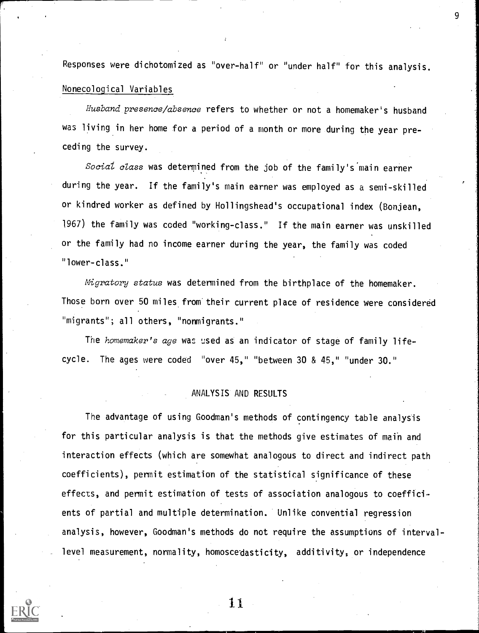Responses were dichotomized as "over-half" or "under half" for this analysis.

9

# Nonecoloqical Variables

Husband presence/absence refers to whether or not a homemaker's husband was living in her home for a period of a month or more during the year preceding the survey.

Social class was determined from the job of the family's main earner during the year. If the family's main earner was employed as a semi-skilled or kindred worker as defined by Hollingshead's occupational index (Bonjean, 1967) the family was coded "working-class." If the main earner was unskilled or the family had no income earner during the year, the family was coded "lower-class."

Migratory status was determined from the birthplace of the homemaker. Those born over 50 miles from their current place of residence were considered "migrants"; all others, "nonmigrants."

The homemaker's age was used as an indicator of stage of family lifecycle. The ages were coded "over 45," "between 30 & 45," "under 30."

## ANALYSIS AND RESULTS

The advantage of using Goodman's methods of contingency table analysis for this particular analysis is that the methods give estimates of main and interaction effects (which are somewhat analogous to direct and indirect path coefficients), permit estimation of the statistical significance of these effects, and permit estimation of tests of association analogous to coefficients of partial and multiple determination. Unlike convential regression analysis, however, Goodman's methods do not require the assumptions of intervallevel measurement, normality, homoscedasticity, additivity, or independence

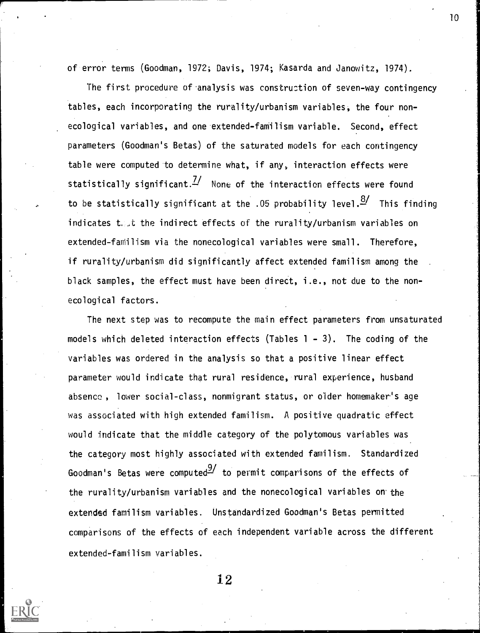of error terms (Goodman, 1972; Davis, 1974; Kasarda and Janowitz, 1974).

The first procedure of analysis was construction of seven-way contingency tables, each incorporating the rurality/urbanism variables, the four nonecological variables, and one extended-familism variable. Second, effect parameters (Goodman's Betas) of the saturated models for each contingency table were computed to determine what, if any, interaction effects were statistically significant. $\frac{7}{4}$  None of the interaction effects were found to be statistically significant at the .05 probability level. $\frac{8}{1}$  This finding indicates that the indirect effects of the rurality/urbanism variables on extended-familism via the nonecological variables were small. Therefore, if rurality/urbanism did significantly affect extended familism among the black samples, the effect must have been direct, i.e., not due to the nonecological factors.

The next step was to recompute the main effect parameters from unsaturated models which deleted interaction effects (Tables  $1 - 3$ ). The coding of the variables was ordered in the analysis so that a positive linear effect parameter would indicate that rural residence, rural experience, husband absence , lower social-class, nonmigrant status, or older homemaker's age was associated with high extended familism. A positive quadratic effect would indicate that the middle category of the polytomous variables was the category most highly associated with extended familism. Standardized Goodman's Betas were computed  $\frac{9}{2}$  to permit comparisons of the effects of the rurality/urbanism variables and the nonecological variables on'the extended familism variables. Unstandardized Goodman's Betas permitted comparisons of the effects of each independent variable across the different extended-familism variables.

12

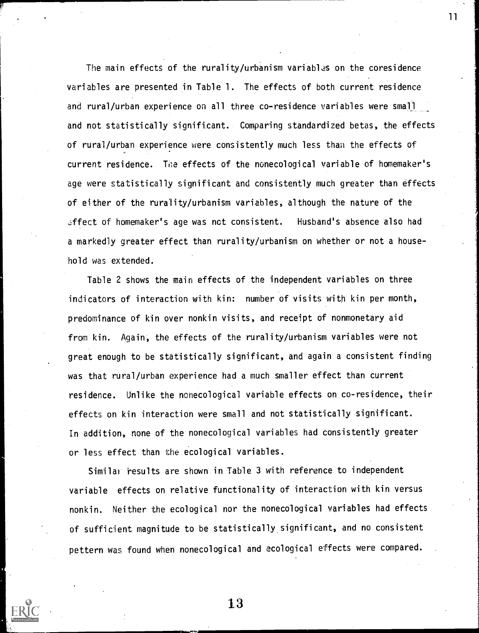The main effects of the rurality/urbanism variables on the coresidence variables are presented in Table 1. The effects of both current residence and rural/urban experience on all three co-residence variables were small and not statistically significant. Comparing standardized betas, the effects of rural/urban experience were consistently much less than the effects of current residence. The effects of the nonecological variable of homemaker's age were statistically significant and consistently much greater than effects of either of the rurality/urbanism variables, although the nature of the effect of homemaker's age was nct consistent. Husband's absence also had a markedly greater effect than rurality/urbanism on whether or not a household was extended.

11

Table 2 shows the main effects of the independent variables on three indicators of interaction with kin: number of visits with kin per month, predominance of kin over nonkin visits, and receipt of nonmonetary aid from kin. Again, the effects of the rurality/urbanism variables were not great enough to be statistically significant, and again a consistent finding was that rural/urban experience had a much smaller effect than current residence. Unlike the nonecological variable effects on co-residence, their effects on kin interaction were small and not statistically significant. In addition, none of the nonecological variables had consistently greater or less effect than the ecological variables.

Similar results are shown in Table 3 with reference to independent variable effects on relative functionality of interaction with kin versus nonkin. Neither the ecological nor the nonecological variables had effects of sufficient magnitude to be statistically. significant, and no consistent pettern was found when nonecological and ecological effects were compared.

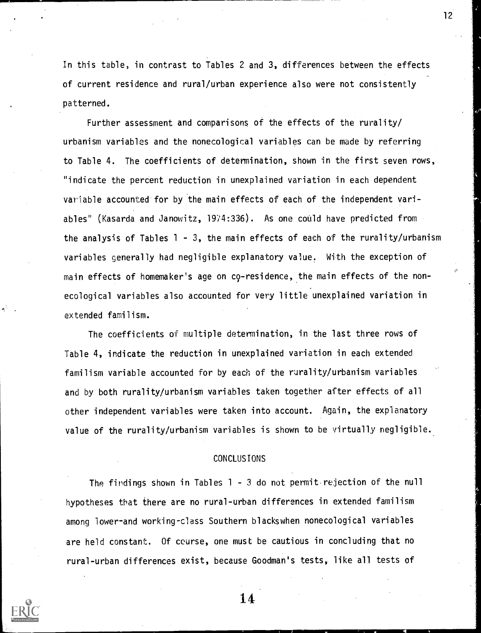In this table, in contrast to Tables 2 and 3, differences between the effects of current residence and rural/urban experience also were not consistently patterned.

Further assessment and comparisons of the effects of the rurality/ urbanism variables and the nonecological variables can be made by referring to Table 4. The coefficients of determination, shown in the first seven rows, "indicate the percent reduction in unexplained variation in each dependent variable accounted for by the main effects of each of the independent variables" (Kasarda and Janowitz, 1974:336). As one could have predicted from the analysis of Tables  $1 - 3$ , the main effects of each of the rurality/urbanism variables generally had negligible explanatory value. With the exception of main effects of homemaker's age on c9-residence, the main effects of the nonecological variables also accounted for very little unexplained variation in extended familism.

The coefficients of multiple determination, in the last three rows of Table 4, indicate the reduction in unexplained variation in each extended familism variable accounted for by each of the rurality/urbanism variables and by both rurality/urbanism variables taken together after effects of all other independent variables were taken into account. Again, the explanatory value of the rurality/urbanism variables is shown to be virtually negligible.

## CONCLUSIONS

The findings shown in Tables 1 - 3 do not permit.rejection of the null hypotheses that there are no rural-urban differences in extended familism among lower-and working-class Southern blackswhen nonecological variables are held constant. Of course, one must be cautious in concluding that no rural-urban differences exist, because Goodman's tests, like all tests of



14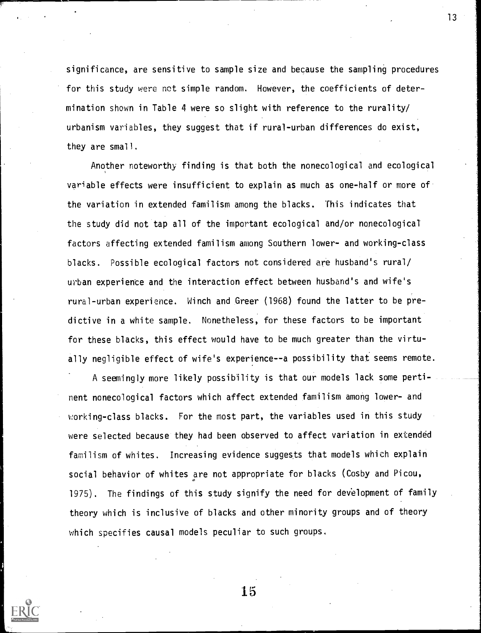significance, are sensitive to sample size and because the sampling procedures for this study were not simple random. However, the coefficients of determination shown in Table 4 were so slight with reference to the rurality/ urbanism variables, they suggest that if rural-urban differences do exist, they are small.

Another noteworthy finding is that both the nonecological and ecological variable effects were insufficient to explain as much as one-half or more of the variation in extended familism among the blacks. This indicates that the study did not tap all of the important ecological and/or nonecological factors affecting extended familism among Southern lower- and working-class blacks. Possible ecological factors not considered are husband's rural/ urban experience and the interaction effect between husband's and wife's rural-urban experience. Winch and Greer (1968) found the latter to be predictive in a white sample. Nonetheless, for these factors to be important for these blacks, this effect would have to be much greater than the virtually negligible effect of wife's experience--a possibility that seems remote.

A seemingly more likely possibility is that our models lack some pertinent nonecological factors which affect extended familism among lower- and working-class blacks. For the most part, the variables used in this study were selected because they had been observed to affect variation in extended familism of whites. Increasing evidence suggests that models which explain social behavior of whites are not appropriate for blacks (Cosby and Picou, 1975). The findings of this study signify the need for development of family theory which is inclusive of blacks and other minority groups and of theory which specifies causal models peculiar to such groups.

15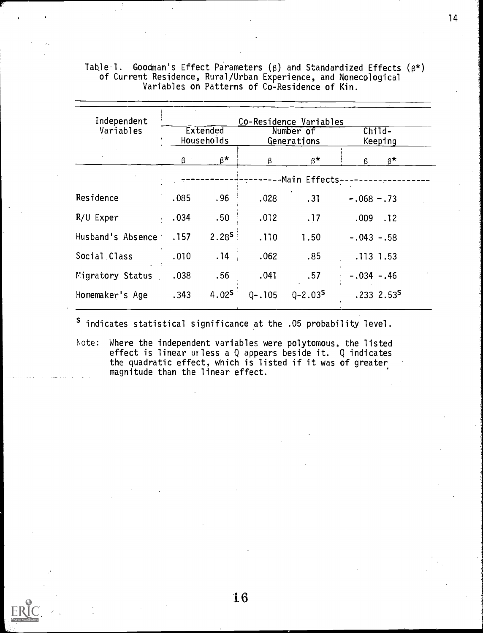| Independent       |      |                               | Co-Residence Variables |                          |                      |
|-------------------|------|-------------------------------|------------------------|--------------------------|----------------------|
| Variables         |      | <b>Extended</b><br>Households |                        | Number of<br>Generations | $Child-$<br>Keeping  |
|                   | β    | $\beta^{\star}$               | β                      | $\beta^{\star}$          | $\beta^{\star}$<br>ß |
|                   |      |                               |                        | -Main Effects-           | $- - -$              |
| Residence         | .085 | .96                           | .028<br>.31            |                          | $-.068-.73$          |
| R/U Exper         | .034 | .50 <sub>1</sub>              | .012                   | .17                      | $.009$ $.12$         |
| Husband's Absence | .157 | $2.28^{5}$                    | .110                   | 1.50                     | $-.043-.58$          |
| Social Class      | .010 | .14                           | .062                   | .85                      | .113 1.53            |
| Migratory Status  | .038 | .56                           | .041                   | .57                      | $-.034-.46$          |
| Homemaker's Age   | .343 | 4.02 <sup>S</sup>             | $0 - 105$              | $0 - 2.03S$              | $.2332.53^5$         |

Table I. Goodman's Effect Parameters ( $\beta$ ) and Standardized Effects ( $\beta^\star$ ) of Current Residence, Rural/Urban Experience, and Nonecological Variables on Patterns of Co-Residence of Kin.

s indicates statistical significance at the .05 probability level.

Note: Where the independent variables were polytomous, the listed effect is linear unless a Q appears beside it. Q indicates the quadratic effect, which is listed if it was of greater magnitude than the linear effect.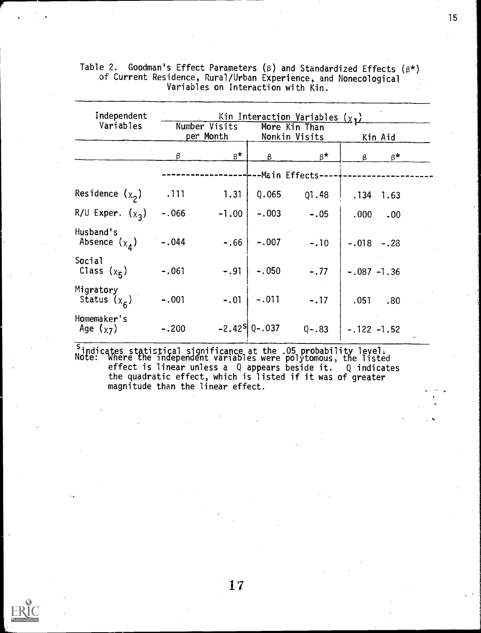| Independent                           |         |                            |                               | Kin Interaction Variables $(\chi_1)$ |                      |  |
|---------------------------------------|---------|----------------------------|-------------------------------|--------------------------------------|----------------------|--|
| Variables                             |         | Number Visits<br>per Month |                               | More Kin Than<br>Nonkin Visits       | Kin Aid              |  |
|                                       | β       | $\beta^{\star}$            | β                             | $\beta^{\star}$                      | $\beta^{\star}$<br>ß |  |
|                                       |         |                            |                               | -Main Effects-                       |                      |  |
| Residence $(x_2)$                     | .111    | 1.31                       | Q.065                         | 01.48                                | .134<br>1.63         |  |
| R/U Exper. $(x_3)$                    | $-.066$ | $-1.00$                    | $-.003$                       | $-.05$                               | .000<br>$.00 \cdot$  |  |
| Husband's<br>Absence $(x_{\lambda})$  | $-.044$ | $-.66$                     | $-.007$                       | $-.10$                               | $-.018-.23$          |  |
| Social<br>Class $(\chi_{\mathsf{F}})$ | $-.061$ | $-.91$                     | $-.050$                       | $-.77$                               | $-.087 -1.36$        |  |
| Migratory<br>Status $(x6)$            | $-.001$ | $-.01$                     | $-.011$                       | $-.17$                               | .051<br>.80          |  |
| Homemaker's<br>Age $(x_7)$            | $-.200$ |                            | $-2.42$ <sup>S</sup> Q - .037 | $Q - .83$                            | $-.122 -1.52$        |  |

Table 2. Goodman's Effect Parameters (β) and Standardized Effects  $(\beta^\star)$ of Current Residence, Rural/Urban Experience, and Nonecological Variables on Interaction with Kin.

<sup>s</sup> indicates statistical significance at the .05 probability level. Note: where the independent variables were polytomous, the listed effect is linear unless a Q appears beside it. Q indicates the quadratic effect, which is listed if it was of greater magnitude than the linear effect.

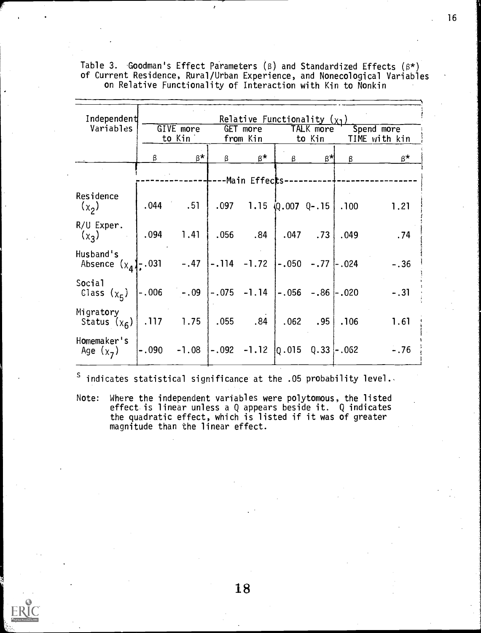| Independent                                                          |      |                                                                                 |   | Relative Functionality $(x_1)$     |   |                     |      |                             |
|----------------------------------------------------------------------|------|---------------------------------------------------------------------------------|---|------------------------------------|---|---------------------|------|-----------------------------|
| Variables                                                            |      | GIVE more<br>to Kin                                                             |   | GET more<br>from Kin               |   | TALK more<br>to Kin |      | Spend more<br>TIME with kin |
|                                                                      | β    | $B^{\star}$                                                                     | β | β*                                 | β | $\beta^{\star}$     | β    | $\beta^{\star}$             |
|                                                                      |      |                                                                                 |   | -Main Effec <b>t</b> s------       |   |                     |      |                             |
| Residence<br>$(\chi_2)$                                              |      | $.044-.51$                                                                      |   | $.097$ 1.15 $(0.007 \, 0-.15)$ 100 |   |                     |      | 1.21                        |
| R/U Exper.<br>$(x_3)$                                                | .094 | 1.41                                                                            |   | $.056$ $.84$                       |   | $.047-.73$          | .049 | .74                         |
| Husband's<br>Absence $(x_4)$ , 031 -.47 -.114 -1.72 -.050 -.77 -.024 |      |                                                                                 |   |                                    |   |                     |      | $-.36$                      |
| Social<br>Class $(\chi_5)$                                           |      | -.006       -.09   -.075    -1.14   -.056    -.86  -.020                        |   |                                    |   |                     |      | $-.31$                      |
| Migratory<br>Status $(x_6)$                                          |      | $.117$ 1.75                                                                     |   | $.055$ .84 $.062$ .95 .106         |   |                     |      | 1.61                        |
| Homemaker's<br>Age $(x_7)$                                           |      | $-.090$ $-.1.08$ $\left[-.092$ $-.1.12$ $\left[0.015 \quad 0.33\right]$ $-.062$ |   |                                    |   |                     |      | $-.76$                      |

Table 3. Goodman's Effect Parameters ( $\beta$ ) and Standardized Effects ( $\beta^*$ ) of Current Residence, Rural/Urban Experience, and Nonecological Variables on Relative Functionality of Interaction with Kin to Nonkin

 $\sf S$ indicates statistical significance at the .05 probability level.,

Note: Where the independent variables were polytomous, the listed effect is linear unless a Q appears beside it. Q indicates the quadratic effect, which is listed if it was of greater magnitude than the linear effect.

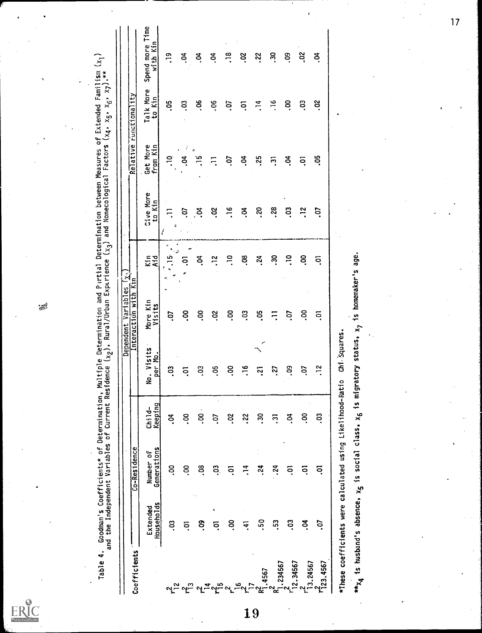Table 4. Goodman's Coefficients\* of Determination, Multiple Determination and Partial Determination between Measures of Extended Familism (x<sub>1</sub>)<br>and the Independent Variables of Current Residence (x<sub>2</sub>), Rural/Urban Exper

| Coefficients                   |                                                                           | Co-Residence             |                     |                       | Dependent Variables $(x_1)$<br>Interaction with Kin |             |                     | Relative             | runctionality       |                             |
|--------------------------------|---------------------------------------------------------------------------|--------------------------|---------------------|-----------------------|-----------------------------------------------------|-------------|---------------------|----------------------|---------------------|-----------------------------|
|                                | Households<br>Extended                                                    | Generations<br>Number of | Keeping<br>$Child-$ | No. Visits<br>per Mo. | More Kin<br>Visits                                  | Aid<br>Kin  | Cive More<br>to Kin | Get More<br>from Kin | Talk More<br>to Kin | Spend more Time<br>with Kin |
|                                | ິ                                                                         | <u>ဒို</u>               | Š.                  | ຶ                     | ć.                                                  | ضً<br>ă     | Ę<br>6<br>ł         | ິີ.                  | ă.                  | $\frac{9}{2}$               |
| <b>ಲ್ಲ್ಡ್ ಲ್ಲ್ಡ್</b>           | ຣຸ                                                                        | ຊ                        | ິຣຸ                 | ຣຸ                    | <u>ိ</u>                                            | ົດ          | C.                  | S.                   | ິສຸ                 | S.                          |
|                                | ຶ່ວ.                                                                      | ვ.                       | $\frac{1}{2}$       | 3.                    | <u>ဒို</u>                                          | S.          | S.                  | ¢,<br>$\frac{15}{1}$ | °.                  | S.                          |
| ᡳᢩᢅᡃ<br>ᡗ<br>≍                 | ຣຸ                                                                        | ຌ຺                       | ć.                  | ვ.                    | So.                                                 | $\ddot{ }$  | S.                  |                      | °Û                  | S.                          |
|                                | ິ<br>.                                                                    | ຣຸ                       | ី.                  | S.                    | ິຣຸ                                                 | $\tilde{=}$ | $\frac{6}{1}$       | Ś                    | ic.                 | $\ddot{.}$                  |
| $\frac{6}{16}$                 | Ë                                                                         | $\ddot{ }$ .             | <b>22</b>           | $\frac{16}{1}$        | c.                                                  | .os         | Ś.                  | ैं                   | $\bar{\circ}$       | °s                          |
| 1.4567<br>$\overline{1}$<br>19 | င်္က                                                                      | $\ddot{5}$               | នុ                  | ្ម                    | 3p                                                  | .24         | $\overline{5}$      | 35.                  | $\frac{4}{1}$       | .22                         |
| $\frac{1}{2}$ .234567          | <u>း</u>                                                                  | .24                      | $\overline{5}$      | :27                   | Ξ                                                   | នុ          | .28                 | $\tilde{\cdot}$      | $\frac{6}{1}$       | 30                          |
| 12.34567                       | co.                                                                       | ົດ                       | కే                  | <u>ခို</u>            | C.                                                  | $\tilde{=}$ | S.                  | S.                   | ິຣຸ                 | S.                          |
|                                | Š.                                                                        | ິຣຸ                      | ິ<br>ຂ              | S.                    | ຊ                                                   | δ.          | $\ddot{ }$          | ຣຸ                   | S.                  | 2p                          |
| 13.24567<br>$r_{123.4567}^2$   | ć.                                                                        | ົດ                       | ິວຸ                 | $\ddot{ }$            | ຣຸ                                                  | ົດ          | έ.                  | Ğ.                   | ័                   | S.                          |
|                                | *These coefficients were calculated using Likelihood-Ratio                |                          |                     | Chi Squares           |                                                     |             |                     |                      |                     |                             |
|                                | wix4 is husband's absence, x5 is social class, x6 is migratory status, x7 |                          |                     |                       | is homemaker's                                      | age.        |                     |                      |                     |                             |
|                                |                                                                           |                          |                     |                       |                                                     |             |                     |                      |                     |                             |
|                                |                                                                           |                          |                     |                       |                                                     |             |                     |                      |                     |                             |
|                                |                                                                           |                          |                     |                       |                                                     |             |                     |                      |                     |                             |

B

ERIC

 $\overline{17}$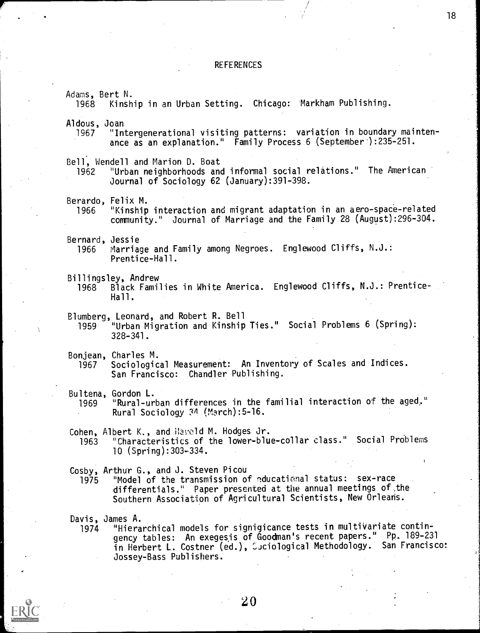### **REFERENCES**

Adams, Bert N. Kinship in an Urban Setting. Chicago: Markham Publishing. Aldous, Joan<br>1967 "In "Intergenerational visiting patterns: variation in boundary maintenance as an explanation." Family Process  $6$  (September ):235-251. Bell, Wendell and Marion D. Boat "Urban neighborhoods and informal social relations." The American Journal of Sociology 62 (January):391-398. Berardo, Felix M.<br>1966 "Kinship "Kinship interaction and migrant adaptation in an aero-space-related community." Journal of Marriage and the Family 28 (August):296-304. Bernard, Jessie<br>1966 Marria Marriage and Family among Negroes. Englewood Cliffs, N.J.: Prentice-Hall. Billingsley, Andrew<br>1968 Black Fami 1968 Black Families in White America. Englewood Cliffs, N.J.: Prentice-Hall. Blumberg, Leonard, and Robert R. Bell "Urban Migration and Kinship Ties." Social Problems 6 (Spring): 328-341. Bonjean, Charles M. Sociological Measurement: An Inventory of Scales and Indices. San Francisco: Chandler Publishing. Bultena, Gordon L. 1969 "Rural-urban differences in the familial interaction of the aged." Rural Sociology  $34$  (March):5-16. Cohen, Albert K., and ilayeld M. Hodges Jr. 1963 "Characteristics of the lower-blue-collar class." Social Problems 10  $(Spring): 303 - 334$ . Cosby, Arthur G., and J. Steven Picou 1975 "Model of the transmission of aducational status: sex-race differentials." Paper presented at the annual meetings of the Southern Association of Agricultural Scientists, New Orleans. Davis, James A.<br>-1974 "Hierarchical models for signigicance tests in multivariate contin 1974 "Hierarchical models for signigicance tests in multivariate contingency tables: An exegesis of Goodman's recent papers." Pp. 189-231 in Herbert L. Costner (ed.),  ${\mathfrak{S}}$ ciological Methodology.  $\,$  San Francisco:  $\,$   $\,$   $\,$ Jossey-Bass Publishers.

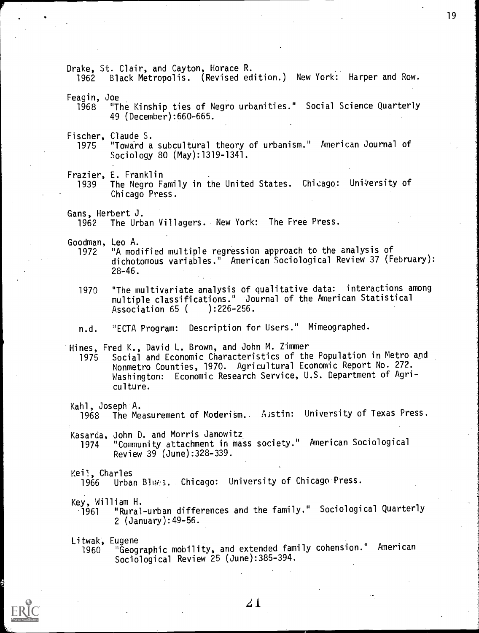Drake, St. Clair, and Cayton, Horace R.

1962 Black Metropolis. (Revised edition.) New York: Harper and Row.

Feagin, Joe

- "The Kinship ties of Negro urbanities." Social Science Quarterly 49 (December):660-665.
- Fischer, Claude S.<br>1975 "Toward a
	- "Toward a subcultural theory of urbanism." American Journal of Sociology 80 (May):1319-1341.

Frazier, E. Franklin

The Negro Family in the United States. Chicago: University of Chicago Press.

Gans, Herbert J.

The Urban Villagers. New York: The Free Press.

Goodman, Leo A.

- 1972 "A modified multiple regression approach to the analysis of dichotomous variables." American Sociological Review 37 (February): 28-46.
- 1970 "The multivariate analysis of qualitative data: interactions among multiple classifications." Journal of the American Statistical<br>Association 65 ( ):226-256. Association 65 (
- n.d. 'ECTA Program: Description for Users." Mimeographed.

Hines, Fred K., David L. Brown, and John M. Zimmer

1975 Social and Economic Characteristics of the Population in Metro apd Nonmetro Counties, 1970. Agricultural Economic Report No. 272. Washington: Economic Research Service, U.S. Department of Agriculture.

Kahl, Joseph A.

1968 The Measurement of Moderism. Austin: University of Texas Press.

Kasarda, John D. and Morris Janowitz

1974 "Community attachment in mass society." American Sociological Review 39 (June):328-339.

Keil, Charles<br>1966 Urba

1966 Urban B114;3. Chicago: University of Chicago Press.

Key, William H. "Rural-urban differences and the family." Sociological Quarterly 2 (January):49-56.

Litwak, Eugene "Geographic mobility, and extended family cohension." American Sociological Review 25 (June):385-394.

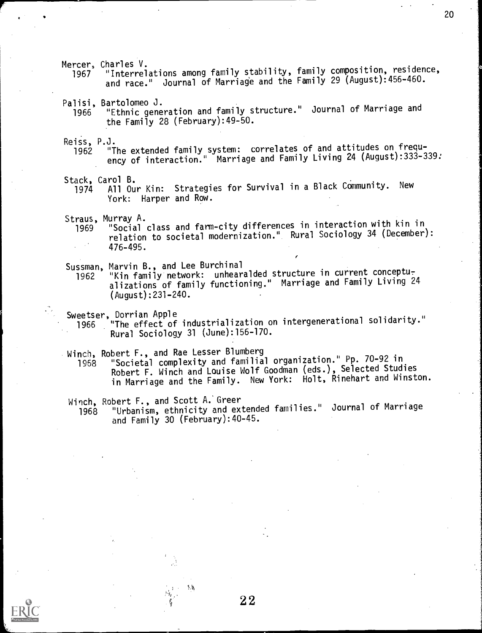Mercer, Charles V. <sup>1967</sup> "Interrelations among family stability, family composition, residence, and race." Journal of Marriage and the Family 29 (August):456-460.

Palisi, Bartolomeo J. <sup>1966</sup> "Ethnic generation and family structure." Journal of Marriage and the Family 28 (February):49-50.

Reiss, P.J. <sup>1962</sup> "The extended family system: correlates of and attitudes on frequency of interaction." Marriage and Family Living 24 (August):333-339:

Stack, Carol B. <sup>1974</sup> All Our Kin: Strategies for Survival in a Black Community. New York: Harper and Row.

Straus, Murray A.

<sup>1969</sup> "Social class and farm-city differences in interaction with kin in relation to societal modernization. ". Rural Sociology 34 (December): 476-495.

Sussman, Marvin B., and Lee Burchinal

1962 "Kin family network: unhearalded structure in current conceptualizations of family functioning." Marriage and Family Living 24 (August):231-240.

Sweetser, Dorrian Apple<br>1966 The effect of "The effect of industrialization on intergenerational solidarity." Rural Sociology 31 (June):156-170.

Winch, Robert F., and Rae Lesser Blumberg

<sup>1968</sup> "Societal complexity and familial organization." Pp. 70-92 in Robert F. Winch and Louise Wolf Goodman (eds.), Selected Studies in Marriage and the Family. New York: Holt, Rinehart and Winston.

Winch, Robert F., and Scott A. Greer

<sup>1968</sup> "Urbanism, ethnicity and extended families." Journal of Marriage and Family 30 (February):40-45.

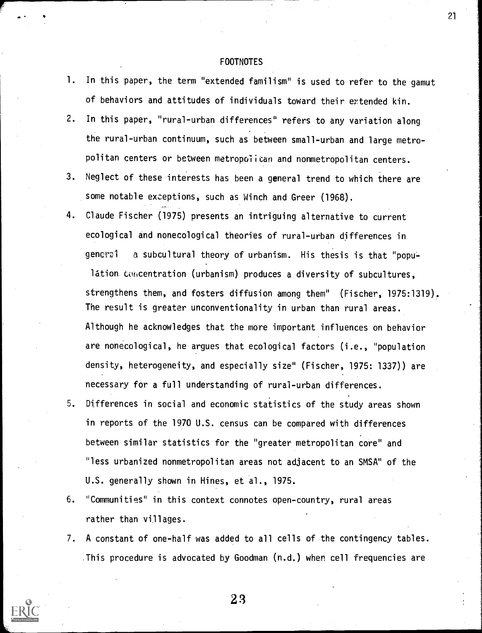#### FOOTNOTES

- 1. In this paper, the term "extended familism" is used to refer to the gamut of behaviors and attitudes of individuals toward their extended kin.
- 2. In this paper, "rural-urban differences" refers to any variation along the rural-urban continuum, such as between small-urban and large metropolitan centers or between metropolitan and nonmetropolitan centers.
- 3. Neglect of these interests has been a general trend to which there are some notable exceptions, such as Winch and Greer (1968).
- 4. Claude Fischer (1975) presents an intriguing alternative to current ecological and nonecological theories of rural-urban differences in general a subcultural theory of urbanism. His thesis is that "popu-

látion concentration (urbanism) produces a diversity of subcultures, strengthens them, and fosters diffusion among them" (Fischer, 1975:1319). The result is greater unconventionality in urban than rural areas. Although he acknowledges that the more important influences on behavior are nonecological, he argues that ecological factors (i.e., "population density, heterogeneity, and especially size" (Fischer, 1975: 1337)) are necessary for a full understanding of rural-urban differences.

- 5. Differences in social and economic statistics of the study areas shown in reports of the 1970 U.S. census can be compared with differences between similar statistics for the "greater metropolitan core" and "less urbanized nonmetropolitan areas not adjacent to an SMSA" of the U.S. generally shown in Hines, et al., 1975.
- 6. "Communities" in this context connotes open-country, rural areas rather than villages.
- 7. A constant of one-half was added to all cells of the contingency tables. This procedure is advocated by Goodman (n.d.) when cell frequencies are



23